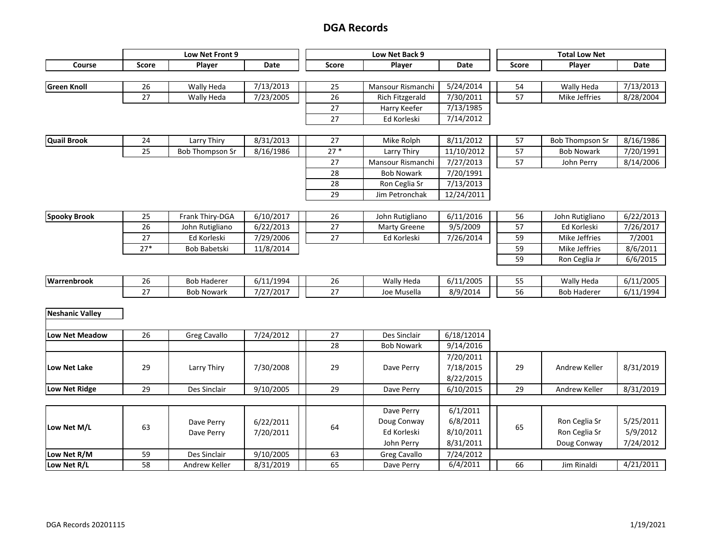| Course<br>Score<br>Date<br><b>Score</b><br>Date<br><b>Score</b><br>Player<br>Player<br>Player<br>Date<br><b>Green Knoll</b><br>7/13/2013<br>7/13/2013<br>5/24/2014<br>26<br>Wally Heda<br>25<br>Mansour Rismanchi<br>54<br>Wally Heda<br>57<br>27<br>7/23/2005<br>26<br>7/30/2011<br>8/28/2004<br><b>Rich Fitzgerald</b><br>Mike Jeffries<br>Wally Heda<br>27<br>7/13/1985<br>Harry Keefer<br>27<br>7/14/2012<br>Ed Korleski<br><b>Quail Brook</b><br>8/31/2013<br>8/11/2012<br>8/16/1986<br>24<br>Larry Thiry<br>27<br>Mike Rolph<br>57<br><b>Bob Thompson Sr</b><br>$27*$<br>25<br>8/16/1986<br>11/10/2012<br>57<br>7/20/1991<br><b>Bob Thompson Sr</b><br>Larry Thiry<br><b>Bob Nowark</b><br>27<br>57<br>Mansour Rismanchi<br>7/27/2013<br>8/14/2006<br>John Perry<br>28<br><b>Bob Nowark</b><br>7/20/1991<br>28<br>7/13/2013<br>Ron Ceglia Sr<br>29<br>12/24/2011<br>Jim Petronchak<br><b>Spooky Brook</b><br>25<br>6/11/2016<br>6/22/2013<br>Frank Thiry-DGA<br>6/10/2017<br>26<br>56<br>John Rutigliano<br>John Rutigliano<br>$27\,$<br>9/5/2009<br>26<br>John Rutigliano<br>6/22/2013<br><b>Marty Greene</b><br>57<br>Ed Korleski<br>7/26/2017<br>27<br>59<br>Mike Jeffries<br>7/2001<br>27<br>Ed Korleski<br>7/29/2006<br>Ed Korleski<br>7/26/2014<br>$27*$<br>59<br>Mike Jeffries<br>8/6/2011<br>Bob Babetski<br>11/8/2014<br>59<br>6/6/2015<br>Ron Ceglia Jr<br>Warrenbrook<br>26<br>26<br><b>Bob Haderer</b><br>6/11/1994<br>Wally Heda<br>6/11/2005<br>55<br>6/11/2005<br>Wally Heda<br>27<br>56<br>27<br>7/27/2017<br>8/9/2014<br>6/11/1994<br><b>Bob Nowark</b><br>Joe Musella<br><b>Bob Haderer</b><br><b>Neshanic Valley</b><br>27<br>6/18/12014<br>26<br>Des Sinclair<br>7/24/2012<br>Low Net Meadow<br><b>Greg Cavallo</b><br>28<br>9/14/2016<br><b>Bob Nowark</b><br>7/20/2011<br>7/30/2008<br>29<br>7/18/2015<br>29<br>8/31/2019<br>Low Net Lake<br>29<br>Larry Thiry<br>Dave Perry<br>Andrew Keller<br>8/22/2015<br>29<br>29<br>29<br>Low Net Ridge<br>Des Sinclair<br>Dave Perry<br>9/10/2005<br>6/10/2015<br>Andrew Keller<br>8/31/2019<br>6/1/2011<br>Dave Perry<br>Doug Conway<br>6/8/2011<br>Ron Ceglia Sr<br>5/25/2011<br>6/22/2011<br>Dave Perry<br>63<br>64<br>65<br>Low Net M/L<br>5/9/2012<br>Ed Korleski<br>8/10/2011<br>Ron Ceglia Sr<br>7/20/2011<br>Dave Perry<br>7/24/2012<br>8/31/2011<br>John Perry<br>Doug Conway<br>9/10/2005<br>63<br>Low Net R/M<br>59<br>Des Sinclair<br>7/24/2012<br>Greg Cavallo<br>6/4/2011<br>4/21/2011<br>Low Net R/L<br>58<br>65<br>66<br>Andrew Keller<br>8/31/2019<br>Jim Rinaldi<br>Dave Perry |  | Low Net Front 9 |  | Low Net Back 9 |  | <b>Total Low Net</b> |  |
|---------------------------------------------------------------------------------------------------------------------------------------------------------------------------------------------------------------------------------------------------------------------------------------------------------------------------------------------------------------------------------------------------------------------------------------------------------------------------------------------------------------------------------------------------------------------------------------------------------------------------------------------------------------------------------------------------------------------------------------------------------------------------------------------------------------------------------------------------------------------------------------------------------------------------------------------------------------------------------------------------------------------------------------------------------------------------------------------------------------------------------------------------------------------------------------------------------------------------------------------------------------------------------------------------------------------------------------------------------------------------------------------------------------------------------------------------------------------------------------------------------------------------------------------------------------------------------------------------------------------------------------------------------------------------------------------------------------------------------------------------------------------------------------------------------------------------------------------------------------------------------------------------------------------------------------------------------------------------------------------------------------------------------------------------------------------------------------------------------------------------------------------------------------------------------------------------------------------------------------------------------------------------------------------------------------------------------------------------------------------------------------------------------------------------------------------------------------------------------------------------------------------------------------------------------------------|--|-----------------|--|----------------|--|----------------------|--|
|                                                                                                                                                                                                                                                                                                                                                                                                                                                                                                                                                                                                                                                                                                                                                                                                                                                                                                                                                                                                                                                                                                                                                                                                                                                                                                                                                                                                                                                                                                                                                                                                                                                                                                                                                                                                                                                                                                                                                                                                                                                                                                                                                                                                                                                                                                                                                                                                                                                                                                                                                                     |  |                 |  |                |  |                      |  |
|                                                                                                                                                                                                                                                                                                                                                                                                                                                                                                                                                                                                                                                                                                                                                                                                                                                                                                                                                                                                                                                                                                                                                                                                                                                                                                                                                                                                                                                                                                                                                                                                                                                                                                                                                                                                                                                                                                                                                                                                                                                                                                                                                                                                                                                                                                                                                                                                                                                                                                                                                                     |  |                 |  |                |  |                      |  |
|                                                                                                                                                                                                                                                                                                                                                                                                                                                                                                                                                                                                                                                                                                                                                                                                                                                                                                                                                                                                                                                                                                                                                                                                                                                                                                                                                                                                                                                                                                                                                                                                                                                                                                                                                                                                                                                                                                                                                                                                                                                                                                                                                                                                                                                                                                                                                                                                                                                                                                                                                                     |  |                 |  |                |  |                      |  |
|                                                                                                                                                                                                                                                                                                                                                                                                                                                                                                                                                                                                                                                                                                                                                                                                                                                                                                                                                                                                                                                                                                                                                                                                                                                                                                                                                                                                                                                                                                                                                                                                                                                                                                                                                                                                                                                                                                                                                                                                                                                                                                                                                                                                                                                                                                                                                                                                                                                                                                                                                                     |  |                 |  |                |  |                      |  |
|                                                                                                                                                                                                                                                                                                                                                                                                                                                                                                                                                                                                                                                                                                                                                                                                                                                                                                                                                                                                                                                                                                                                                                                                                                                                                                                                                                                                                                                                                                                                                                                                                                                                                                                                                                                                                                                                                                                                                                                                                                                                                                                                                                                                                                                                                                                                                                                                                                                                                                                                                                     |  |                 |  |                |  |                      |  |
|                                                                                                                                                                                                                                                                                                                                                                                                                                                                                                                                                                                                                                                                                                                                                                                                                                                                                                                                                                                                                                                                                                                                                                                                                                                                                                                                                                                                                                                                                                                                                                                                                                                                                                                                                                                                                                                                                                                                                                                                                                                                                                                                                                                                                                                                                                                                                                                                                                                                                                                                                                     |  |                 |  |                |  |                      |  |
|                                                                                                                                                                                                                                                                                                                                                                                                                                                                                                                                                                                                                                                                                                                                                                                                                                                                                                                                                                                                                                                                                                                                                                                                                                                                                                                                                                                                                                                                                                                                                                                                                                                                                                                                                                                                                                                                                                                                                                                                                                                                                                                                                                                                                                                                                                                                                                                                                                                                                                                                                                     |  |                 |  |                |  |                      |  |
|                                                                                                                                                                                                                                                                                                                                                                                                                                                                                                                                                                                                                                                                                                                                                                                                                                                                                                                                                                                                                                                                                                                                                                                                                                                                                                                                                                                                                                                                                                                                                                                                                                                                                                                                                                                                                                                                                                                                                                                                                                                                                                                                                                                                                                                                                                                                                                                                                                                                                                                                                                     |  |                 |  |                |  |                      |  |
|                                                                                                                                                                                                                                                                                                                                                                                                                                                                                                                                                                                                                                                                                                                                                                                                                                                                                                                                                                                                                                                                                                                                                                                                                                                                                                                                                                                                                                                                                                                                                                                                                                                                                                                                                                                                                                                                                                                                                                                                                                                                                                                                                                                                                                                                                                                                                                                                                                                                                                                                                                     |  |                 |  |                |  |                      |  |
|                                                                                                                                                                                                                                                                                                                                                                                                                                                                                                                                                                                                                                                                                                                                                                                                                                                                                                                                                                                                                                                                                                                                                                                                                                                                                                                                                                                                                                                                                                                                                                                                                                                                                                                                                                                                                                                                                                                                                                                                                                                                                                                                                                                                                                                                                                                                                                                                                                                                                                                                                                     |  |                 |  |                |  |                      |  |
|                                                                                                                                                                                                                                                                                                                                                                                                                                                                                                                                                                                                                                                                                                                                                                                                                                                                                                                                                                                                                                                                                                                                                                                                                                                                                                                                                                                                                                                                                                                                                                                                                                                                                                                                                                                                                                                                                                                                                                                                                                                                                                                                                                                                                                                                                                                                                                                                                                                                                                                                                                     |  |                 |  |                |  |                      |  |
|                                                                                                                                                                                                                                                                                                                                                                                                                                                                                                                                                                                                                                                                                                                                                                                                                                                                                                                                                                                                                                                                                                                                                                                                                                                                                                                                                                                                                                                                                                                                                                                                                                                                                                                                                                                                                                                                                                                                                                                                                                                                                                                                                                                                                                                                                                                                                                                                                                                                                                                                                                     |  |                 |  |                |  |                      |  |
|                                                                                                                                                                                                                                                                                                                                                                                                                                                                                                                                                                                                                                                                                                                                                                                                                                                                                                                                                                                                                                                                                                                                                                                                                                                                                                                                                                                                                                                                                                                                                                                                                                                                                                                                                                                                                                                                                                                                                                                                                                                                                                                                                                                                                                                                                                                                                                                                                                                                                                                                                                     |  |                 |  |                |  |                      |  |
|                                                                                                                                                                                                                                                                                                                                                                                                                                                                                                                                                                                                                                                                                                                                                                                                                                                                                                                                                                                                                                                                                                                                                                                                                                                                                                                                                                                                                                                                                                                                                                                                                                                                                                                                                                                                                                                                                                                                                                                                                                                                                                                                                                                                                                                                                                                                                                                                                                                                                                                                                                     |  |                 |  |                |  |                      |  |
|                                                                                                                                                                                                                                                                                                                                                                                                                                                                                                                                                                                                                                                                                                                                                                                                                                                                                                                                                                                                                                                                                                                                                                                                                                                                                                                                                                                                                                                                                                                                                                                                                                                                                                                                                                                                                                                                                                                                                                                                                                                                                                                                                                                                                                                                                                                                                                                                                                                                                                                                                                     |  |                 |  |                |  |                      |  |
|                                                                                                                                                                                                                                                                                                                                                                                                                                                                                                                                                                                                                                                                                                                                                                                                                                                                                                                                                                                                                                                                                                                                                                                                                                                                                                                                                                                                                                                                                                                                                                                                                                                                                                                                                                                                                                                                                                                                                                                                                                                                                                                                                                                                                                                                                                                                                                                                                                                                                                                                                                     |  |                 |  |                |  |                      |  |
|                                                                                                                                                                                                                                                                                                                                                                                                                                                                                                                                                                                                                                                                                                                                                                                                                                                                                                                                                                                                                                                                                                                                                                                                                                                                                                                                                                                                                                                                                                                                                                                                                                                                                                                                                                                                                                                                                                                                                                                                                                                                                                                                                                                                                                                                                                                                                                                                                                                                                                                                                                     |  |                 |  |                |  |                      |  |
|                                                                                                                                                                                                                                                                                                                                                                                                                                                                                                                                                                                                                                                                                                                                                                                                                                                                                                                                                                                                                                                                                                                                                                                                                                                                                                                                                                                                                                                                                                                                                                                                                                                                                                                                                                                                                                                                                                                                                                                                                                                                                                                                                                                                                                                                                                                                                                                                                                                                                                                                                                     |  |                 |  |                |  |                      |  |
|                                                                                                                                                                                                                                                                                                                                                                                                                                                                                                                                                                                                                                                                                                                                                                                                                                                                                                                                                                                                                                                                                                                                                                                                                                                                                                                                                                                                                                                                                                                                                                                                                                                                                                                                                                                                                                                                                                                                                                                                                                                                                                                                                                                                                                                                                                                                                                                                                                                                                                                                                                     |  |                 |  |                |  |                      |  |
|                                                                                                                                                                                                                                                                                                                                                                                                                                                                                                                                                                                                                                                                                                                                                                                                                                                                                                                                                                                                                                                                                                                                                                                                                                                                                                                                                                                                                                                                                                                                                                                                                                                                                                                                                                                                                                                                                                                                                                                                                                                                                                                                                                                                                                                                                                                                                                                                                                                                                                                                                                     |  |                 |  |                |  |                      |  |
|                                                                                                                                                                                                                                                                                                                                                                                                                                                                                                                                                                                                                                                                                                                                                                                                                                                                                                                                                                                                                                                                                                                                                                                                                                                                                                                                                                                                                                                                                                                                                                                                                                                                                                                                                                                                                                                                                                                                                                                                                                                                                                                                                                                                                                                                                                                                                                                                                                                                                                                                                                     |  |                 |  |                |  |                      |  |
|                                                                                                                                                                                                                                                                                                                                                                                                                                                                                                                                                                                                                                                                                                                                                                                                                                                                                                                                                                                                                                                                                                                                                                                                                                                                                                                                                                                                                                                                                                                                                                                                                                                                                                                                                                                                                                                                                                                                                                                                                                                                                                                                                                                                                                                                                                                                                                                                                                                                                                                                                                     |  |                 |  |                |  |                      |  |
|                                                                                                                                                                                                                                                                                                                                                                                                                                                                                                                                                                                                                                                                                                                                                                                                                                                                                                                                                                                                                                                                                                                                                                                                                                                                                                                                                                                                                                                                                                                                                                                                                                                                                                                                                                                                                                                                                                                                                                                                                                                                                                                                                                                                                                                                                                                                                                                                                                                                                                                                                                     |  |                 |  |                |  |                      |  |
|                                                                                                                                                                                                                                                                                                                                                                                                                                                                                                                                                                                                                                                                                                                                                                                                                                                                                                                                                                                                                                                                                                                                                                                                                                                                                                                                                                                                                                                                                                                                                                                                                                                                                                                                                                                                                                                                                                                                                                                                                                                                                                                                                                                                                                                                                                                                                                                                                                                                                                                                                                     |  |                 |  |                |  |                      |  |
|                                                                                                                                                                                                                                                                                                                                                                                                                                                                                                                                                                                                                                                                                                                                                                                                                                                                                                                                                                                                                                                                                                                                                                                                                                                                                                                                                                                                                                                                                                                                                                                                                                                                                                                                                                                                                                                                                                                                                                                                                                                                                                                                                                                                                                                                                                                                                                                                                                                                                                                                                                     |  |                 |  |                |  |                      |  |
|                                                                                                                                                                                                                                                                                                                                                                                                                                                                                                                                                                                                                                                                                                                                                                                                                                                                                                                                                                                                                                                                                                                                                                                                                                                                                                                                                                                                                                                                                                                                                                                                                                                                                                                                                                                                                                                                                                                                                                                                                                                                                                                                                                                                                                                                                                                                                                                                                                                                                                                                                                     |  |                 |  |                |  |                      |  |
|                                                                                                                                                                                                                                                                                                                                                                                                                                                                                                                                                                                                                                                                                                                                                                                                                                                                                                                                                                                                                                                                                                                                                                                                                                                                                                                                                                                                                                                                                                                                                                                                                                                                                                                                                                                                                                                                                                                                                                                                                                                                                                                                                                                                                                                                                                                                                                                                                                                                                                                                                                     |  |                 |  |                |  |                      |  |
|                                                                                                                                                                                                                                                                                                                                                                                                                                                                                                                                                                                                                                                                                                                                                                                                                                                                                                                                                                                                                                                                                                                                                                                                                                                                                                                                                                                                                                                                                                                                                                                                                                                                                                                                                                                                                                                                                                                                                                                                                                                                                                                                                                                                                                                                                                                                                                                                                                                                                                                                                                     |  |                 |  |                |  |                      |  |
|                                                                                                                                                                                                                                                                                                                                                                                                                                                                                                                                                                                                                                                                                                                                                                                                                                                                                                                                                                                                                                                                                                                                                                                                                                                                                                                                                                                                                                                                                                                                                                                                                                                                                                                                                                                                                                                                                                                                                                                                                                                                                                                                                                                                                                                                                                                                                                                                                                                                                                                                                                     |  |                 |  |                |  |                      |  |
|                                                                                                                                                                                                                                                                                                                                                                                                                                                                                                                                                                                                                                                                                                                                                                                                                                                                                                                                                                                                                                                                                                                                                                                                                                                                                                                                                                                                                                                                                                                                                                                                                                                                                                                                                                                                                                                                                                                                                                                                                                                                                                                                                                                                                                                                                                                                                                                                                                                                                                                                                                     |  |                 |  |                |  |                      |  |
|                                                                                                                                                                                                                                                                                                                                                                                                                                                                                                                                                                                                                                                                                                                                                                                                                                                                                                                                                                                                                                                                                                                                                                                                                                                                                                                                                                                                                                                                                                                                                                                                                                                                                                                                                                                                                                                                                                                                                                                                                                                                                                                                                                                                                                                                                                                                                                                                                                                                                                                                                                     |  |                 |  |                |  |                      |  |
|                                                                                                                                                                                                                                                                                                                                                                                                                                                                                                                                                                                                                                                                                                                                                                                                                                                                                                                                                                                                                                                                                                                                                                                                                                                                                                                                                                                                                                                                                                                                                                                                                                                                                                                                                                                                                                                                                                                                                                                                                                                                                                                                                                                                                                                                                                                                                                                                                                                                                                                                                                     |  |                 |  |                |  |                      |  |
|                                                                                                                                                                                                                                                                                                                                                                                                                                                                                                                                                                                                                                                                                                                                                                                                                                                                                                                                                                                                                                                                                                                                                                                                                                                                                                                                                                                                                                                                                                                                                                                                                                                                                                                                                                                                                                                                                                                                                                                                                                                                                                                                                                                                                                                                                                                                                                                                                                                                                                                                                                     |  |                 |  |                |  |                      |  |
|                                                                                                                                                                                                                                                                                                                                                                                                                                                                                                                                                                                                                                                                                                                                                                                                                                                                                                                                                                                                                                                                                                                                                                                                                                                                                                                                                                                                                                                                                                                                                                                                                                                                                                                                                                                                                                                                                                                                                                                                                                                                                                                                                                                                                                                                                                                                                                                                                                                                                                                                                                     |  |                 |  |                |  |                      |  |
|                                                                                                                                                                                                                                                                                                                                                                                                                                                                                                                                                                                                                                                                                                                                                                                                                                                                                                                                                                                                                                                                                                                                                                                                                                                                                                                                                                                                                                                                                                                                                                                                                                                                                                                                                                                                                                                                                                                                                                                                                                                                                                                                                                                                                                                                                                                                                                                                                                                                                                                                                                     |  |                 |  |                |  |                      |  |
|                                                                                                                                                                                                                                                                                                                                                                                                                                                                                                                                                                                                                                                                                                                                                                                                                                                                                                                                                                                                                                                                                                                                                                                                                                                                                                                                                                                                                                                                                                                                                                                                                                                                                                                                                                                                                                                                                                                                                                                                                                                                                                                                                                                                                                                                                                                                                                                                                                                                                                                                                                     |  |                 |  |                |  |                      |  |
|                                                                                                                                                                                                                                                                                                                                                                                                                                                                                                                                                                                                                                                                                                                                                                                                                                                                                                                                                                                                                                                                                                                                                                                                                                                                                                                                                                                                                                                                                                                                                                                                                                                                                                                                                                                                                                                                                                                                                                                                                                                                                                                                                                                                                                                                                                                                                                                                                                                                                                                                                                     |  |                 |  |                |  |                      |  |
|                                                                                                                                                                                                                                                                                                                                                                                                                                                                                                                                                                                                                                                                                                                                                                                                                                                                                                                                                                                                                                                                                                                                                                                                                                                                                                                                                                                                                                                                                                                                                                                                                                                                                                                                                                                                                                                                                                                                                                                                                                                                                                                                                                                                                                                                                                                                                                                                                                                                                                                                                                     |  |                 |  |                |  |                      |  |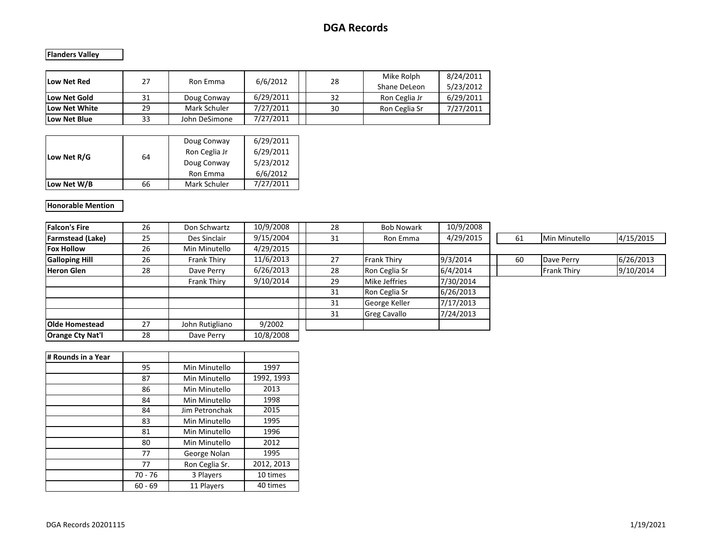**Flanders Valley**

| Low Net Red   | 27 | Ron Emma      | 6/6/2012  | 28 | Mike Rolph<br>Shane DeLeon | 8/24/2011<br>5/23/2012 |
|---------------|----|---------------|-----------|----|----------------------------|------------------------|
| Low Net Gold  | 31 | Doug Conway   | 6/29/2011 | 32 | Ron Ceglia Jr              | 6/29/2011              |
| Low Net White | 29 | Mark Schuler  | 7/27/2011 | 30 | Ron Ceglia Sr              | 7/27/2011              |
| Low Net Blue  | 33 | John DeSimone | 7/27/2011 |    |                            |                        |

| Low Net R/G | 64 | Doug Conway<br>Ron Ceglia Jr<br>Doug Conway | 6/29/2011<br>6/29/2011<br>5/23/2012 |
|-------------|----|---------------------------------------------|-------------------------------------|
|             |    | Ron Emma                                    | 6/6/2012                            |
| Low Net W/B | 66 | Mark Schuler                                | 7/27/2011                           |

#### **Honorable Mention**

| <b>Falcon's Fire</b>    | 26 | Don Schwartz    | 10/9/2008 | 28 | <b>Bob Nowark</b>   | 10/9/2008 |    |               |           |
|-------------------------|----|-----------------|-----------|----|---------------------|-----------|----|---------------|-----------|
|                         |    |                 |           |    |                     |           |    |               |           |
| <b>Farmstead (Lake)</b> | 25 | Des Sinclair    | 9/15/2004 | 31 | Ron Emma            | 4/29/2015 | 61 | Min Minutello | 4/15/2015 |
| <b>Fox Hollow</b>       | 26 | Min Minutello   | 4/29/2015 |    |                     |           |    |               |           |
| <b>Galloping Hill</b>   | 26 | Frank Thiry     | 11/6/2013 | 27 | <b>Frank Thirv</b>  | 9/3/2014  | 60 | Dave Perry    | 6/26/2013 |
| <b>Heron Glen</b>       | 28 | Dave Perry      | 6/26/2013 | 28 | Ron Ceglia Sr       | 6/4/2014  |    | Frank Thiry   | 9/10/2014 |
|                         |    | Frank Thiry     | 9/10/2014 | 29 | Mike Jeffries       | 7/30/2014 |    |               |           |
|                         |    |                 |           | 31 | Ron Ceglia Sr       | 6/26/2013 |    |               |           |
|                         |    |                 |           | 31 | George Keller       | 7/17/2013 |    |               |           |
|                         |    |                 |           | 31 | <b>Greg Cavallo</b> | 7/24/2013 |    |               |           |
| <b>Olde Homestead</b>   | 27 | John Rutigliano | 9/2002    |    |                     |           |    |               |           |
| <b>Orange Cty Nat'l</b> | 28 | Dave Perry      | 10/8/2008 |    |                     |           |    |               |           |

| # Rounds in a Year |           |                |            |
|--------------------|-----------|----------------|------------|
|                    | 95        | Min Minutello  | 1997       |
|                    | 87        | Min Minutello  | 1992, 1993 |
|                    | 86        | Min Minutello  | 2013       |
|                    | 84        | Min Minutello  | 1998       |
|                    | 84        | Jim Petronchak | 2015       |
|                    | 83        | Min Minutello  | 1995       |
|                    | 81        | Min Minutello  | 1996       |
|                    | 80        | Min Minutello  | 2012       |
|                    | 77        | George Nolan   | 1995       |
|                    | 77        | Ron Ceglia Sr. | 2012, 2013 |
|                    | $70 - 76$ | 3 Players      | 10 times   |
|                    | $60 - 69$ | 11 Players     | 40 times   |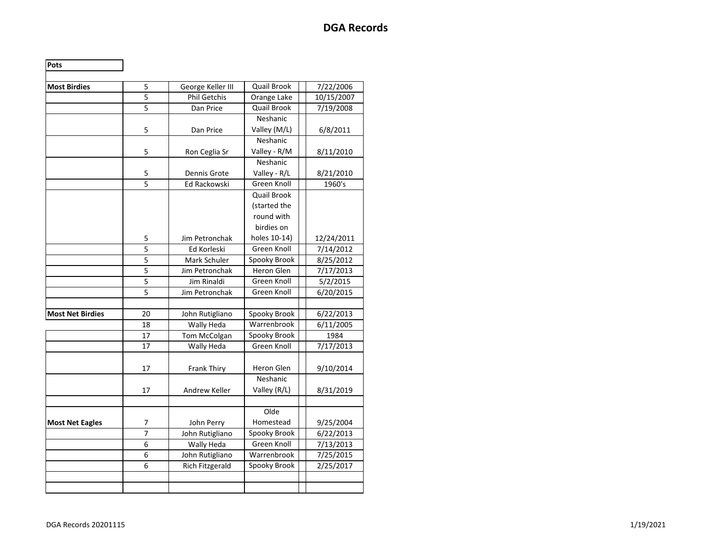| Pots                    |                |                        |                     |            |
|-------------------------|----------------|------------------------|---------------------|------------|
| <b>Most Birdies</b>     | 5              | George Keller III      | <b>Quail Brook</b>  | 7/22/2006  |
|                         | 5              | <b>Phil Getchis</b>    | Orange Lake         | 10/15/2007 |
|                         | $\overline{5}$ | Dan Price              | <b>Quail Brook</b>  | 7/19/2008  |
|                         |                |                        | Neshanic            |            |
|                         | 5              | Dan Price              | Valley (M/L)        | 6/8/2011   |
|                         |                |                        | Neshanic            |            |
|                         | 5              | Ron Ceglia Sr          | Valley - R/M        | 8/11/2010  |
|                         |                |                        | Neshanic            |            |
|                         | 5              | Dennis Grote           | Valley - R/L        | 8/21/2010  |
|                         | $\overline{5}$ | Ed Rackowski           | Green Knoll         | 1960's     |
|                         |                |                        | <b>Quail Brook</b>  |            |
|                         |                |                        | (started the        |            |
|                         |                |                        | round with          |            |
|                         |                |                        | birdies on          |            |
|                         | 5              | Jim Petronchak         | holes 10-14)        | 12/24/2011 |
|                         | $\overline{5}$ | Ed Korleski            | <b>Green Knoll</b>  | 7/14/2012  |
|                         | $\overline{5}$ | Mark Schuler           | Spooky Brook        | 8/25/2012  |
|                         | 5              | Jim Petronchak         | <b>Heron Glen</b>   | 7/17/2013  |
|                         | 5              | <b>Jim Rinaldi</b>     | Green Knoll         | 5/2/2015   |
|                         | $\overline{5}$ | Jim Petronchak         | Green Knoll         | 6/20/2015  |
|                         |                |                        |                     |            |
| <b>Most Net Birdies</b> | 20             | John Rutigliano        | <b>Spooky Brook</b> | 6/22/2013  |
|                         | 18             | Wally Heda             | Warrenbrook         | 6/11/2005  |
|                         | 17             | Tom McColgan           | Spooky Brook        | 1984       |
|                         | 17             | Wally Heda             | Green Knoll         | 7/17/2013  |
|                         | 17             | <b>Frank Thiry</b>     | Heron Glen          | 9/10/2014  |
|                         |                |                        | Neshanic            |            |
|                         | 17             | Andrew Keller          | Valley (R/L)        | 8/31/2019  |
|                         |                |                        |                     |            |
|                         |                |                        | Olde                |            |
| <b>Most Net Eagles</b>  | 7              | John Perry             | Homestead           | 9/25/2004  |
|                         | 7              | John Rutigliano        | Spooky Brook        | 6/22/2013  |
|                         | 6              | Wally Heda             | Green Knoll         | 7/13/2013  |
|                         | 6              | John Rutigliano        | Warrenbrook         | 7/25/2015  |
|                         | 6              | <b>Rich Fitzgerald</b> | Spooky Brook        | 2/25/2017  |
|                         |                |                        |                     |            |
|                         |                |                        |                     |            |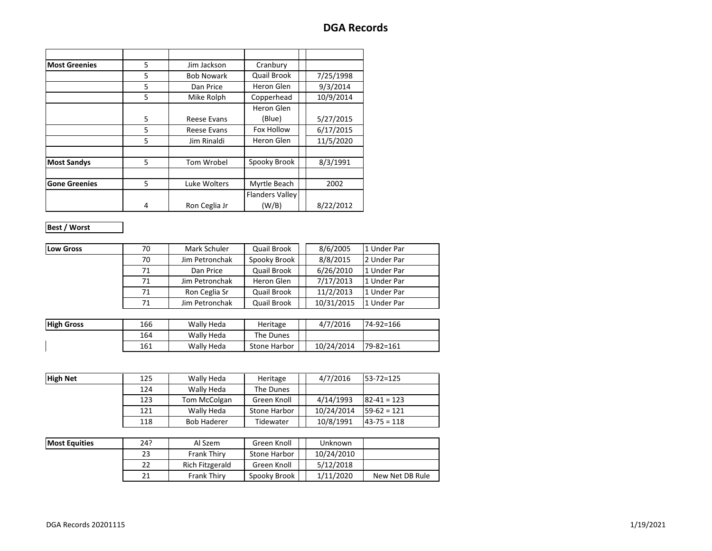| <b>Most Greenies</b> | 5 | Jim Jackson       | Cranbury               |           |
|----------------------|---|-------------------|------------------------|-----------|
|                      | 5 | <b>Bob Nowark</b> | Quail Brook            | 7/25/1998 |
|                      | 5 | Dan Price         | Heron Glen             | 9/3/2014  |
|                      | 5 | Mike Rolph        | Copperhead             | 10/9/2014 |
|                      |   |                   | Heron Glen             |           |
|                      | 5 | Reese Evans       | (Blue)                 | 5/27/2015 |
|                      | 5 | Reese Evans       | Fox Hollow             | 6/17/2015 |
|                      | 5 | Jim Rinaldi       | Heron Glen             | 11/5/2020 |
|                      |   |                   |                        |           |
| <b>Most Sandys</b>   | 5 | Tom Wrobel        | Spooky Brook           | 8/3/1991  |
|                      |   |                   |                        |           |
| <b>Gone Greenies</b> | 5 | Luke Wolters      | Myrtle Beach           | 2002      |
|                      |   |                   | <b>Flanders Valley</b> |           |
|                      | 4 | Ron Ceglia Jr     | (W/B)                  | 8/22/2012 |

#### **Best / Worst**

| <b>Low Gross</b> | 70 | Mark Schuler   | Quail Brook  | 8/6/2005   | 1 Under Par |  |
|------------------|----|----------------|--------------|------------|-------------|--|
|                  | 70 | Jim Petronchak | Spooky Brook | 8/8/2015   | 2 Under Par |  |
|                  | 71 | Dan Price      | Quail Brook  | 6/26/2010  | 1 Under Par |  |
|                  | 71 | Jim Petronchak | Heron Glen   | 7/17/2013  | 1 Under Par |  |
|                  | 71 | Ron Ceglia Sr  | Quail Brook  | 11/2/2013  | 1 Under Par |  |
|                  | 71 | Jim Petronchak | Quail Brook  | 10/31/2015 | 1 Under Par |  |

| <b>High Gross</b> | 166 | Wally Heda | Heritage     | 4/7/2016   | $74-92=166$     |
|-------------------|-----|------------|--------------|------------|-----------------|
|                   | 164 | Wally Heda | The Dunes    |            |                 |
|                   | 161 | Wally Heda | Stone Harbor | 10/24/2014 | $79 - 82 = 161$ |

| <b>High Net</b> | 125 | Wally Heda   | Heritage     | 4/7/2016   | $53 - 72 = 125$ |
|-----------------|-----|--------------|--------------|------------|-----------------|
|                 | 124 | Wally Heda   | The Dunes    |            |                 |
|                 | 123 | Tom McColgan | Green Knoll  | 4/14/1993  | $82 - 41 = 123$ |
|                 | 121 | Wally Heda   | Stone Harbor | 10/24/2014 | $59-62 = 121$   |
|                 | 118 | Bob Haderer  | Tidewater    | 10/8/1991  | $43 - 75 = 118$ |

| <b>Most Equities</b> | 24? | Al Szem            | Green Knoll  | Unknown    |                 |
|----------------------|-----|--------------------|--------------|------------|-----------------|
|                      |     | <b>Frank Thirv</b> | Stone Harbor | 10/24/2010 |                 |
|                      |     | Rich Fitzgerald    | Green Knoll  | 5/12/2018  |                 |
|                      |     | <b>Frank Thirv</b> | Spooky Brook | 1/11/2020  | New Net DB Rule |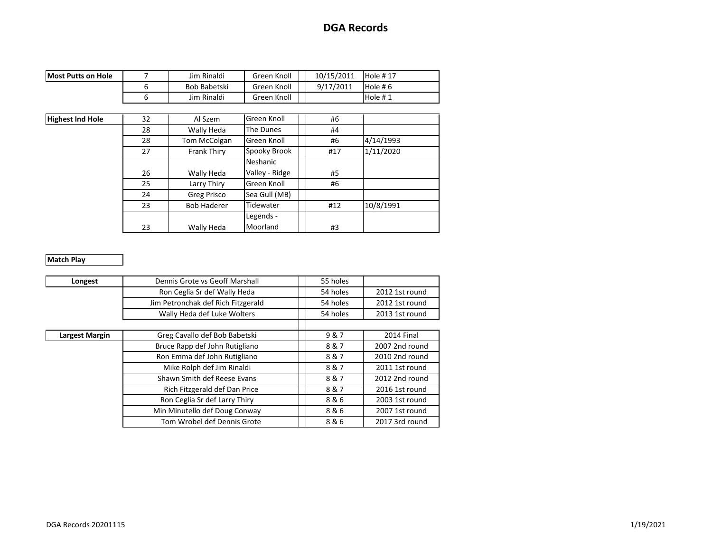| <b>Most Putts on Hole</b> | Jim Rinaldi  | Green Knoll | 10/15/2011 | Hole #17   |
|---------------------------|--------------|-------------|------------|------------|
|                           | Bob Babetski | Green Knoll | 9/17/2011  | Hole #6    |
|                           | Jim Rinaldi  | Green Knoll |            | Hole $# 1$ |

| <b>Highest Ind Hole</b> | Green Knoll<br>32<br>Al Szem |                    | #6             |     |           |
|-------------------------|------------------------------|--------------------|----------------|-----|-----------|
|                         | 28                           | Wally Heda         | The Dunes      | #4  |           |
|                         | 28                           | Tom McColgan       | Green Knoll    | #6  | 4/14/1993 |
|                         | 27                           | Frank Thiry        | Spooky Brook   | #17 | 1/11/2020 |
|                         |                              |                    | Neshanic       |     |           |
|                         | 26                           | Wally Heda         | Valley - Ridge | #5  |           |
|                         | 25                           | Larry Thiry        | Green Knoll    | #6  |           |
|                         | 24                           | Greg Prisco        | Sea Gull (MB)  |     |           |
|                         | 23                           | <b>Bob Haderer</b> | Tidewater      | #12 | 10/8/1991 |
|                         |                              |                    | Legends -      |     |           |
|                         | 23                           | Wally Heda         | Moorland       | #3  |           |

#### **Match Play**

| Dennis Grote vs Geoff Marshall<br>Longest |                                    |  | 55 holes |                |
|-------------------------------------------|------------------------------------|--|----------|----------------|
|                                           | Ron Ceglia Sr def Wally Heda       |  | 54 holes | 2012 1st round |
|                                           | Jim Petronchak def Rich Fitzgerald |  | 54 holes | 2012 1st round |
|                                           | Wally Heda def Luke Wolters        |  | 54 holes | 2013 1st round |
|                                           |                                    |  |          |                |
| Largest Margin                            | Greg Cavallo def Bob Babetski      |  | 9&7      | 2014 Final     |
|                                           | Bruce Rapp def John Rutigliano     |  | 8&7      | 2007 2nd round |
|                                           | Ron Emma def John Rutigliano       |  | 8&7      | 2010 2nd round |
|                                           | Mike Rolph def Jim Rinaldi         |  | 8&7      | 2011 1st round |
|                                           | Shawn Smith def Reese Evans        |  | 8&7      | 2012 2nd round |
|                                           | Rich Fitzgerald def Dan Price      |  | 8&7      | 2016 1st round |
|                                           | Ron Ceglia Sr def Larry Thiry      |  | 8&6      | 2003 1st round |
| Min Minutello def Doug Conway             |                                    |  | 8&6      | 2007 1st round |
| Tom Wrobel def Dennis Grote               |                                    |  | 8&6      | 2017 3rd round |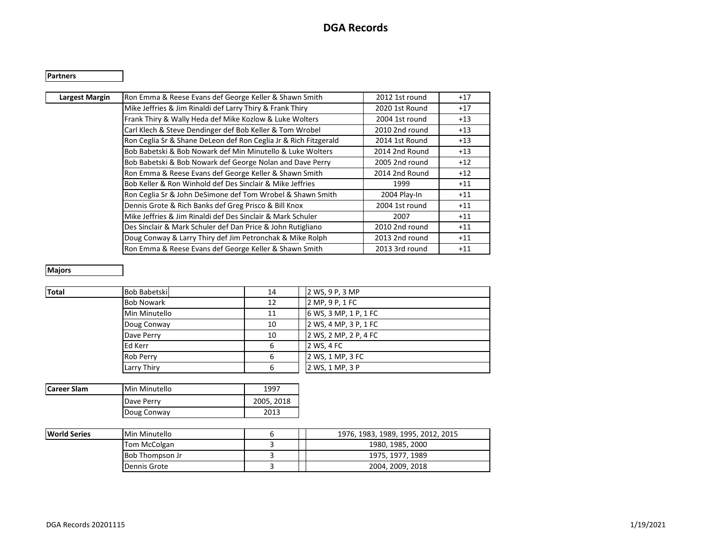#### **Partners**

| Ron Emma & Reese Evans def George Keller & Shawn Smith           | 2012 1st round | $+17$ |
|------------------------------------------------------------------|----------------|-------|
| Mike Jeffries & Jim Rinaldi def Larry Thiry & Frank Thiry        | 2020 1st Round | $+17$ |
| Frank Thiry & Wally Heda def Mike Kozlow & Luke Wolters          | 2004 1st round | $+13$ |
| Carl Klech & Steve Dendinger def Bob Keller & Tom Wrobel         | 2010 2nd round | $+13$ |
| Ron Ceglia Sr & Shane DeLeon def Ron Ceglia Jr & Rich Fitzgerald | 2014 1st Round | $+13$ |
| Bob Babetski & Bob Nowark def Min Minutello & Luke Wolters       | 2014 2nd Round | $+13$ |
| Bob Babetski & Bob Nowark def George Nolan and Dave Perry        | 2005 2nd round | $+12$ |
| Ron Emma & Reese Evans def George Keller & Shawn Smith           | 2014 2nd Round | $+12$ |
| Bob Keller & Ron Winhold def Des Sinclair & Mike Jeffries        | 1999           | $+11$ |
| Ron Ceglia Sr & John DeSimone def Tom Wrobel & Shawn Smith       | 2004 Play-In   | $+11$ |
| Dennis Grote & Rich Banks def Greg Prisco & Bill Knox            | 2004 1st round | $+11$ |
| Mike Jeffries & Jim Rinaldi def Des Sinclair & Mark Schuler      | 2007           | $+11$ |
| Des Sinclair & Mark Schuler def Dan Price & John Rutigliano      | 2010 2nd round | $+11$ |
| Doug Conway & Larry Thiry def Jim Petronchak & Mike Rolph        | 2013 2nd round | $+11$ |
| Ron Emma & Reese Evans def George Keller & Shawn Smith           | 2013 3rd round | $+11$ |
|                                                                  |                |       |

### **Majors**

| Total | Bob Babetski      | 14 | 2 WS, 9 P, 3 MP       |
|-------|-------------------|----|-----------------------|
|       | <b>Bob Nowark</b> | 12 | 2 MP, 9 P, 1 FC       |
|       | Min Minutello     | 11 | 6 WS, 3 MP, 1 P, 1 FC |
|       | Doug Conway       | 10 | 2 WS, 4 MP, 3 P, 1 FC |
|       | Dave Perry        | 10 | 2 WS, 2 MP, 2 P, 4 FC |
|       | Ed Kerr           | 6  | 2 WS, 4 FC            |
|       | <b>Rob Perry</b>  | 6  | 2 WS, 1 MP, 3 FC      |
|       | Larry Thiry       | 6  | 2 WS, 1 MP, 3 P       |

| <b>Career Slam</b><br>Min Minutello |             | 1997       |
|-------------------------------------|-------------|------------|
|                                     | Dave Perry  | 2005, 2018 |
|                                     | Doug Conway | 2013       |

| <b>World Series</b> | Min Minutello          |  |  | 1976, 1983, 1989, 1995, 2012, 2015 |
|---------------------|------------------------|--|--|------------------------------------|
|                     | Tom McColgan           |  |  | 1980, 1985, 2000                   |
|                     | <b>Bob Thompson Jr</b> |  |  | 1975, 1977, 1989                   |
|                     | Dennis Grote           |  |  | 2004. 2009. 2018                   |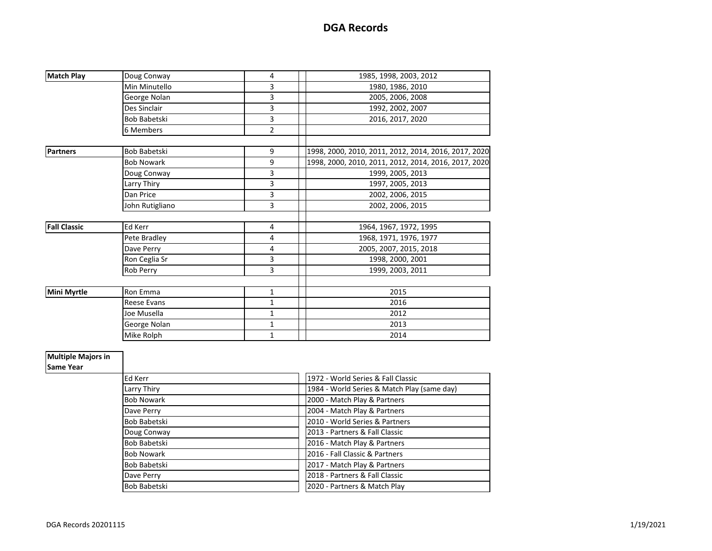| <b>Match Play</b>   | Doug Conway         | 4              | 1985, 1998, 2003, 2012                               |
|---------------------|---------------------|----------------|------------------------------------------------------|
|                     | Min Minutello       | 3              | 1980, 1986, 2010                                     |
|                     | George Nolan        | 3              | 2005, 2006, 2008                                     |
|                     | Des Sinclair        | 3              | 1992, 2002, 2007                                     |
|                     | Bob Babetski        | 3              | 2016, 2017, 2020                                     |
|                     | 6 Members           | $\overline{2}$ |                                                      |
|                     |                     |                |                                                      |
| <b>Partners</b>     | <b>Bob Babetski</b> | 9              | 1998, 2000, 2010, 2011, 2012, 2014, 2016, 2017, 2020 |
|                     | <b>Bob Nowark</b>   | 9              | 1998, 2000, 2010, 2011, 2012, 2014, 2016, 2017, 2020 |
|                     | Doug Conway         | 3              | 1999, 2005, 2013                                     |
|                     | Larry Thiry         | 3              | 1997, 2005, 2013                                     |
|                     | Dan Price           | 3              | 2002, 2006, 2015                                     |
|                     | John Rutigliano     | 3              | 2002, 2006, 2015                                     |
|                     |                     |                |                                                      |
| <b>Fall Classic</b> | <b>Ed Kerr</b>      | 4              | 1964, 1967, 1972, 1995                               |
|                     | Pete Bradley        | 4              | 1968, 1971, 1976, 1977                               |
|                     | Dave Perry          | 4              | 2005, 2007, 2015, 2018                               |
|                     | Ron Ceglia Sr       | 3              | 1998, 2000, 2001                                     |
|                     | Rob Perry           | 3              | 1999, 2003, 2011                                     |
|                     |                     |                |                                                      |
| <b>Mini Myrtle</b>  | Ron Emma            | $\mathbf{1}$   | 2015                                                 |
|                     | <b>Reese Evans</b>  | $\mathbf 1$    | 2016                                                 |
|                     | Joe Musella         | $\mathbf{1}$   | 2012                                                 |
|                     | George Nolan        | $\mathbf{1}$   | 2013                                                 |
|                     | Mike Rolph          | $\mathbf{1}$   | 2014                                                 |

#### **Multiple Majors in**

**Same Year**

| Ed Kerr           | 1972 - World Series & Fall Classic          |
|-------------------|---------------------------------------------|
| Larry Thiry       | 1984 - World Series & Match Play (same day) |
| <b>Bob Nowark</b> | 2000 - Match Play & Partners                |
| Dave Perry        | 2004 - Match Play & Partners                |
| Bob Babetski      | 2010 - World Series & Partners              |
| Doug Conway       | 2013 - Partners & Fall Classic              |
| Bob Babetski      | 2016 - Match Play & Partners                |
| <b>Bob Nowark</b> | 2016 - Fall Classic & Partners              |
| Bob Babetski      | 2017 - Match Play & Partners                |
| Dave Perry        | 2018 - Partners & Fall Classic              |
| Bob Babetski      | 2020 - Partners & Match Play                |